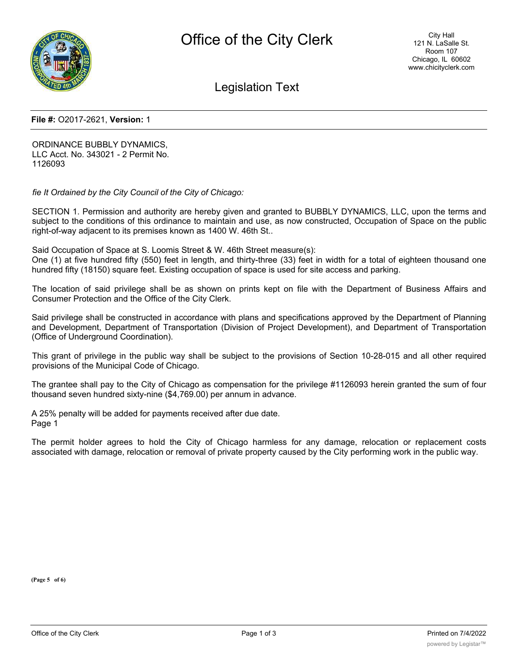

Legislation Text

## **File #:** O2017-2621, **Version:** 1

ORDINANCE BUBBLY DYNAMICS, LLC Acct. No. 343021 - 2 Permit No. 1126093

*fie It Ordained by the City Council of the City of Chicago:*

SECTION 1. Permission and authority are hereby given and granted to BUBBLY DYNAMICS, LLC, upon the terms and subject to the conditions of this ordinance to maintain and use, as now constructed, Occupation of Space on the public right-of-way adjacent to its premises known as 1400 W. 46th St..

Said Occupation of Space at S. Loomis Street & W. 46th Street measure(s):

One (1) at five hundred fifty (550) feet in length, and thirty-three (33) feet in width for a total of eighteen thousand one hundred fifty (18150) square feet. Existing occupation of space is used for site access and parking.

The location of said privilege shall be as shown on prints kept on file with the Department of Business Affairs and Consumer Protection and the Office of the City Clerk.

Said privilege shall be constructed in accordance with plans and specifications approved by the Department of Planning and Development, Department of Transportation (Division of Project Development), and Department of Transportation (Office of Underground Coordination).

This grant of privilege in the public way shall be subject to the provisions of Section 10-28-015 and all other required provisions of the Municipal Code of Chicago.

The grantee shall pay to the City of Chicago as compensation for the privilege #1126093 herein granted the sum of four thousand seven hundred sixty-nine (\$4,769.00) per annum in advance.

A 25% penalty will be added for payments received after due date. Page 1

The permit holder agrees to hold the City of Chicago harmless for any damage, relocation or replacement costs associated with damage, relocation or removal of private property caused by the City performing work in the public way.

**(Page 5 of 6)**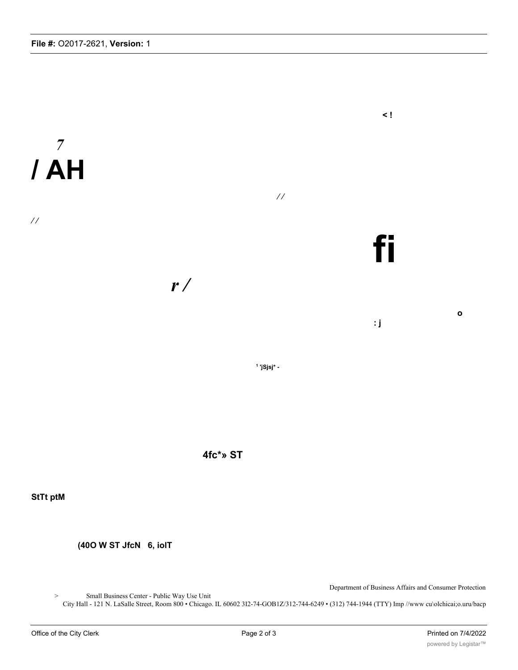



**StTt ptM**

**(40O W ST JfcN 6, iolT**

Department of Business Affairs and Consumer Protection

> Small Business Center - Public Way Use Unit

City Hall - 121 N. LaSalle Street, Room 800 • Chicago. IL 60602 3I2-74-GOB1Z/312-744-6249 • (312) 744-1944 (TTY) Imp //www cu\olchicai;o.uru/bacp